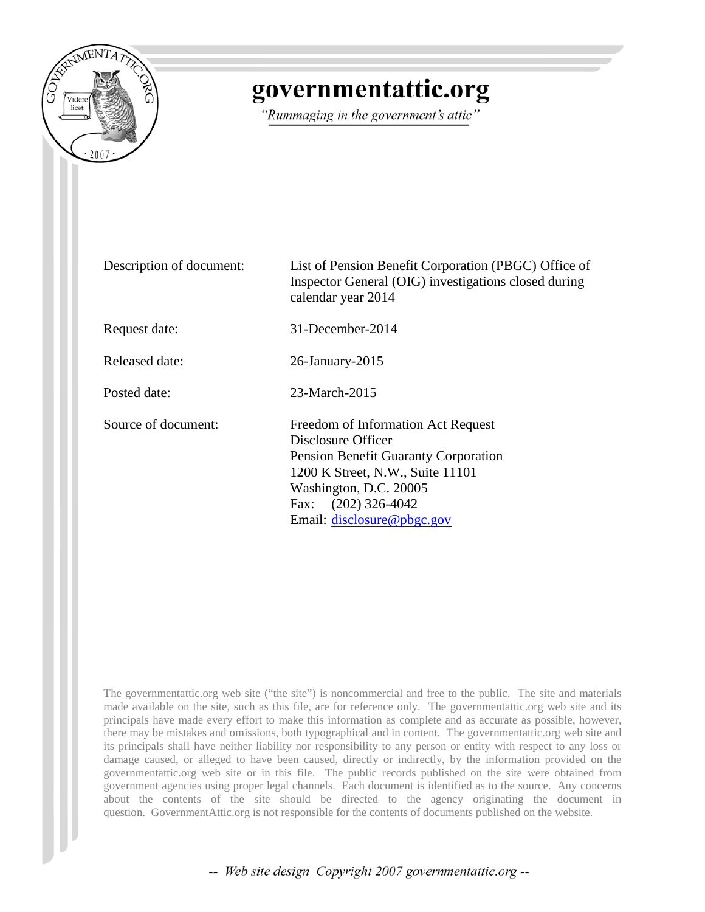

## governmentattic.org

"Rummaging in the government's attic"

Description of document: List of Pension Benefit Corporation (PBGC) Office of Inspector General (OIG) investigations closed during calendar year 2014 Request date: 31-December-2014 Released date: 26-January-2015 Posted date: 23-March-2015 Source of document: Freedom of Information Act Request Disclosure Officer Pension Benefit Guaranty Corporation 1200 K Street, N.W., Suite 11101 Washington, D.C. 20005 Fax: (202) 326-4042 Email: [disclosure@pbgc.gov](mailto:disclosure@pbgc.gov?subject=Freedom%20of%20Information%20Act%20Request)

The governmentattic.org web site ("the site") is noncommercial and free to the public. The site and materials made available on the site, such as this file, are for reference only. The governmentattic.org web site and its principals have made every effort to make this information as complete and as accurate as possible, however, there may be mistakes and omissions, both typographical and in content. The governmentattic.org web site and its principals shall have neither liability nor responsibility to any person or entity with respect to any loss or damage caused, or alleged to have been caused, directly or indirectly, by the information provided on the governmentattic.org web site or in this file. The public records published on the site were obtained from government agencies using proper legal channels. Each document is identified as to the source. Any concerns about the contents of the site should be directed to the agency originating the document in question. GovernmentAttic.org is not responsible for the contents of documents published on the website.

-- Web site design Copyright 2007 governmentattic.org --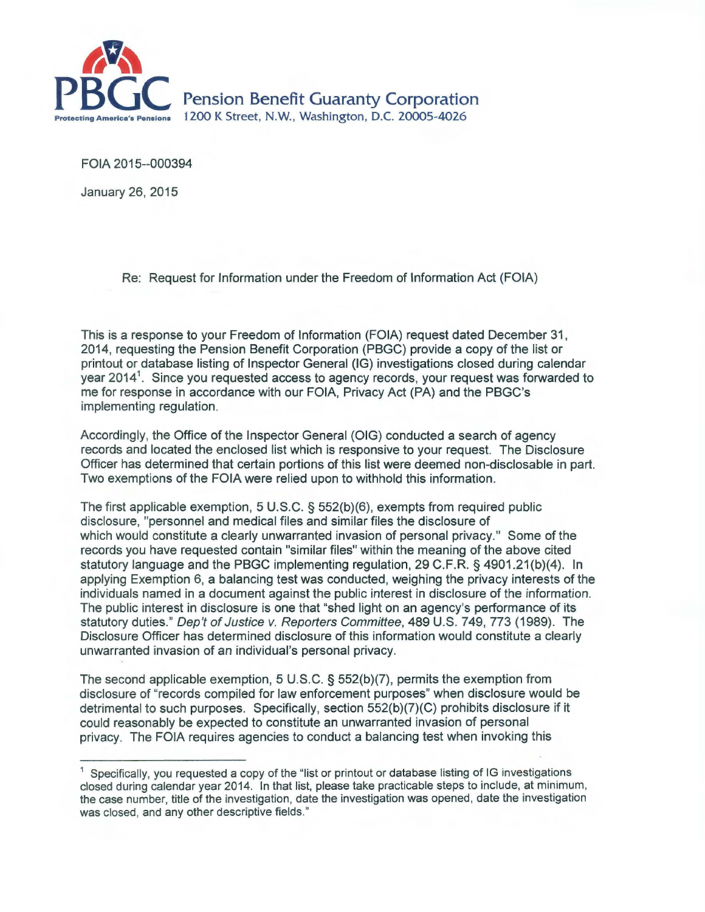

FOIA 2015--000394

January 26, 2015

Re: Request for Information under the Freedom of Information Act (FOIA)

This is a response to your Freedom of Information (FOIA) request dated December 31, 2014, requesting the Pension Benefit Corporation (PBGC) provide a copy of the list or printout or database listing of Inspector General (IG) investigations closed during calendar year 2014<sup>1</sup>. Since you requested access to agency records, your request was forwarded to me for response in accordance with our FOIA, Privacy Act (PA) and the PBGC's implementing regulation.

Accordingly, the Office of the Inspector General (OIG) conducted a search of agency records and located the enclosed list which is responsive to your request. The Disclosure Officer has determined that certain portions of this list were deemed non-disclosable in part. Two exemptions of the FOIA were relied upon to withhold this information.

The first applicable exemption, 5 U.S.C. § 552(b)(6), exempts from required public disclosure, "personnel and medical files and similar files the disclosure of which would constitute a clearly unwarranted invasion of personal privacy." Some of the records you have requested contain "similar files" within the meaning of the above cited statutory language and the PBGC implementing regulation, 29 C.F.R. § 4901.21(b)(4). In applying Exemption 6, a balancing test was conducted, weighing the privacy interests of the individuals named in a document against the public interest in disclosure of the information. The public interest in disclosure is one that "shed light on an agency's performance of its statutory duties." Dep't of Justice v. Reporters Committee, 489 U.S. 749, 773 (1989). The Disclosure Officer has determined disclosure of this information would constitute a clearly unwarranted invasion of an individual's personal privacy.

The second applicable exemption, 5 U.S.C. § 552(b)(7), permits the exemption from disclosure of "records compiled for law enforcement purposes" when disclosure would be detrimental to such purposes. Specifically, section 552(b)(7)(C) prohibits disclosure if it could reasonably be expected to constitute an unwarranted invasion of personal privacy. The FOIA requires agencies *to* conduct a balancing test when invoking this

Specifically, you requested a copy of the "list or printout or database listing of IG investigations closed during calendar year 2014. In that list, please take practicable steps to include, at minimum, the case number, title of the investigation, date the investigation was opened, date the investigation was closed, and any other descriptive fields."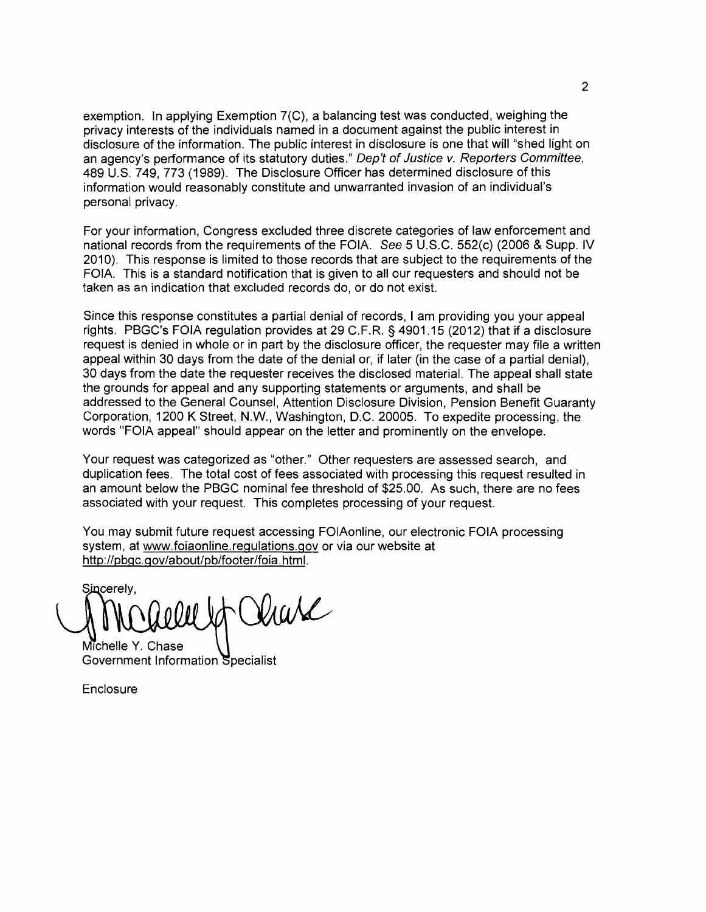exemption. In applying Exemption 7(C), a balancing test was conducted, weighing the privacy interests of the individuals named in a document against the public interest in disclosure of the information. The public interest in disclosure is one that will "shed light on an agency's performance of its statutory duties." Dep't of Justice v. Reporters Committee, 489 U.S. 749, 773 (1989). The Disclosure Officer has determined disclosure of this information would reasonably constitute and unwarranted invasion of an individual's personal privacy.

For your information, Congress excluded three discrete categories of law enforcement and national records from the requirements of the FOIA. See 5 U.S.C. 552(c) (2006 & Supp. IV 2010). This response is limited to those records that are subject to the requirements of the FOIA. This is a standard notification that is given to all our requesters and should not be taken as an indication that excluded records do, or do not exist.

Since this response constitutes a partial denial of records, I am providing you your appeal rights. PBGC's FOIA regulation provides at 29 C.F.R. § 4901.15 (2012) that if a disclosure request is denied in whole or in part by the disclosure officer, the requester may file a written appeal within 30 days from the date of the denial or, if later (in the case of a partial denial), 30 days from the date the requester receives the disclosed material. The appeal shall state the grounds for appeal and any supporting statements or arguments, and shall be addressed to the General Counsel, Attention Disclosure Division, Pension Benefit Guaranty Corporation, 1200 K Street, N.W., Washington, D.C. 20005. To expedite processing, the words "FOIA appeal" should appear on the letter and prominently on the envelope.

Your request was categorized as "other." Other requesters are assessed search, and duplication fees. The total cost of fees associated with processing this request resulted in an amount below the PBGC nominal fee threshold of \$25.00. As such, there are no fees associated with your request. This completes processing of your request.

You may submit future request accessing FOIAonline, our electronic FOIA processing system, at www.foiaonline.regulations.gov or via our website at http://pbgc.gov/about/pb/footer/foia. html.

Sincerelv. Viare

Michelle Y. Chase Government Information Specialist

**Enclosure**